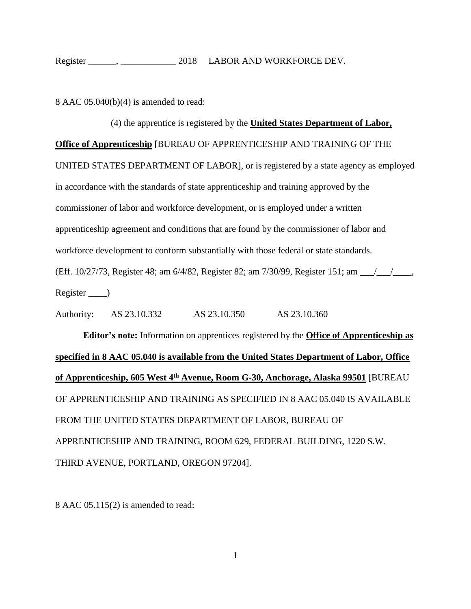8 AAC 05.040(b)(4) is amended to read:

## (4) the apprentice is registered by the **United States Department of Labor, Office of Apprenticeship** [BUREAU OF APPRENTICESHIP AND TRAINING OF THE UNITED STATES DEPARTMENT OF LABOR], or is registered by a state agency as employed in accordance with the standards of state apprenticeship and training approved by the commissioner of labor and workforce development, or is employed under a written apprenticeship agreement and conditions that are found by the commissioner of labor and workforce development to conform substantially with those federal or state standards. (Eff. 10/27/73, Register 48; am 6/4/82, Register 82; am 7/30/99, Register 151; am \_\_\_/\_\_\_/\_\_\_\_, Register )

Authority: AS 23.10.332 AS 23.10.350 AS 23.10.360

**Editor's note:** Information on apprentices registered by the **Office of Apprenticeship as specified in 8 AAC 05.040 is available from the United States Department of Labor, Office of Apprenticeship, 605 West 4th Avenue, Room G-30, Anchorage, Alaska 99501** [BUREAU OF APPRENTICESHIP AND TRAINING AS SPECIFIED IN 8 AAC 05.040 IS AVAILABLE FROM THE UNITED STATES DEPARTMENT OF LABOR, BUREAU OF APPRENTICESHIP AND TRAINING, ROOM 629, FEDERAL BUILDING, 1220 S.W. THIRD AVENUE, PORTLAND, OREGON 97204].

8 AAC 05.115(2) is amended to read: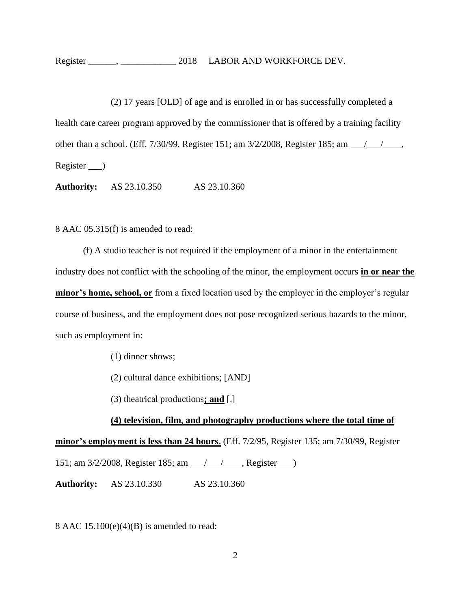(2) 17 years [OLD] of age and is enrolled in or has successfully completed a health care career program approved by the commissioner that is offered by a training facility other than a school. (Eff.  $7/30/99$ , Register 151; am  $3/2/2008$ , Register 185; am  $\frac{\sqrt{11}}{2}$ , Register )

**Authority:** AS 23.10.350 AS 23.10.360

8 AAC 05.315(f) is amended to read:

(f) A studio teacher is not required if the employment of a minor in the entertainment industry does not conflict with the schooling of the minor, the employment occurs **in or near the minor's home, school, or** from a fixed location used by the employer in the employer's regular course of business, and the employment does not pose recognized serious hazards to the minor, such as employment in:

(1) dinner shows;

(2) cultural dance exhibitions; [AND]

(3) theatrical productions**; and** [.]

## **(4) television, film, and photography productions where the total time of**

**minor's employment is less than 24 hours.** (Eff. 7/2/95, Register 135; am 7/30/99, Register 151; am 3/2/2008, Register 185; am 1/1. Alegister 151; am  $\frac{1}{2}$ 

**Authority:** AS 23.10.330 AS 23.10.360

8 AAC  $15.100(e)(4)(B)$  is amended to read: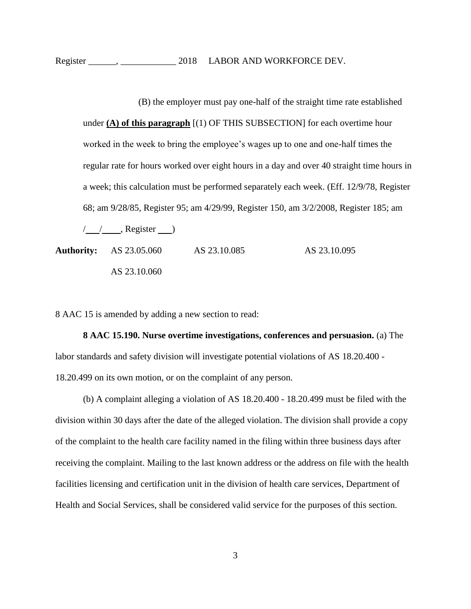(B) the employer must pay one-half of the straight time rate established under **(A) of this paragraph** [(1) OF THIS SUBSECTION] for each overtime hour worked in the week to bring the employee's wages up to one and one-half times the regular rate for hours worked over eight hours in a day and over 40 straight time hours in a week; this calculation must be performed separately each week. (Eff. 12/9/78, Register 68; am 9/28/85, Register 95; am 4/29/99, Register 150, am 3/2/2008, Register 185; am

 $\frac{1}{2}$  , Register )

Authority: AS 23.05.060 AS 23.10.085 AS 23.10.095 AS 23.10.060

8 AAC 15 is amended by adding a new section to read:

**8 AAC 15.190. Nurse overtime investigations, conferences and persuasion.** (a) The labor standards and safety division will investigate potential violations of AS 18.20.400 - 18.20.499 on its own motion, or on the complaint of any person.

(b) A complaint alleging a violation of AS 18.20.400 - 18.20.499 must be filed with the division within 30 days after the date of the alleged violation. The division shall provide a copy of the complaint to the health care facility named in the filing within three business days after receiving the complaint. Mailing to the last known address or the address on file with the health facilities licensing and certification unit in the division of health care services, Department of Health and Social Services, shall be considered valid service for the purposes of this section.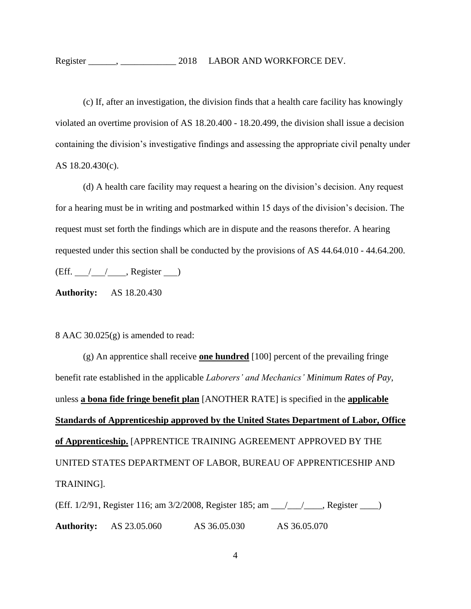(c) If, after an investigation, the division finds that a health care facility has knowingly violated an overtime provision of AS 18.20.400 - 18.20.499, the division shall issue a decision containing the division's investigative findings and assessing the appropriate civil penalty under AS 18.20.430(c).

(d) A health care facility may request a hearing on the division's decision. Any request for a hearing must be in writing and postmarked within 15 days of the division's decision. The request must set forth the findings which are in dispute and the reasons therefor. A hearing requested under this section shall be conducted by the provisions of AS 44.64.010 - 44.64.200.  $(Eff. \_ / \_ / \_ , Register \_ )$ 

**Authority:** AS 18.20.430

## 8 AAC 30.025(g) is amended to read:

(g) An apprentice shall receive **one hundred** [100] percent of the prevailing fringe benefit rate established in the applicable *Laborers' and Mechanics' Minimum Rates of Pay*, unless **a bona fide fringe benefit plan** [ANOTHER RATE] is specified in the **applicable Standards of Apprenticeship approved by the United States Department of Labor, Office of Apprenticeship.** [APPRENTICE TRAINING AGREEMENT APPROVED BY THE UNITED STATES DEPARTMENT OF LABOR, BUREAU OF APPRENTICESHIP AND TRAINING].

(Eff. 1/2/91, Register 116; am 3/2/2008, Register 185; am \_\_\_/\_\_\_/\_\_\_\_, Register \_\_\_\_) **Authority:** AS 23.05.060 AS 36.05.030 AS 36.05.070

4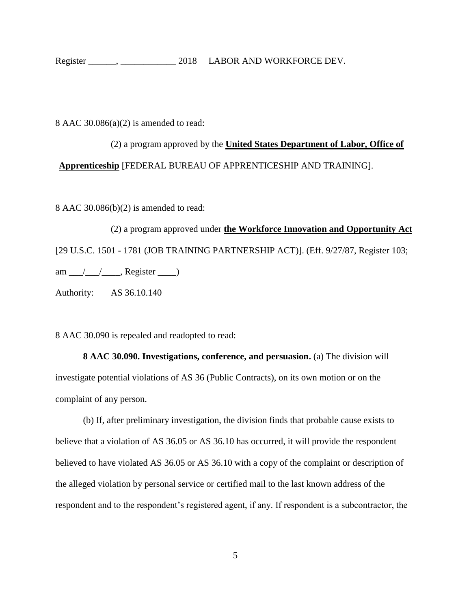8 AAC 30.086(a)(2) is amended to read:

(2) a program approved by the **United States Department of Labor, Office of Apprenticeship** [FEDERAL BUREAU OF APPRENTICESHIP AND TRAINING].

8 AAC 30.086(b)(2) is amended to read:

(2) a program approved under **the Workforce Innovation and Opportunity Act** [29 U.S.C. 1501 - 1781 (JOB TRAINING PARTNERSHIP ACT)]. (Eff. 9/27/87, Register 103; am  $\angle$  / $\angle$ , Register  $\angle$ Authority: AS 36.10.140

8 AAC 30.090 is repealed and readopted to read:

**8 AAC 30.090. Investigations, conference, and persuasion.** (a) The division will investigate potential violations of AS 36 (Public Contracts), on its own motion or on the complaint of any person.

(b) If, after preliminary investigation, the division finds that probable cause exists to believe that a violation of AS 36.05 or AS 36.10 has occurred, it will provide the respondent believed to have violated AS 36.05 or AS 36.10 with a copy of the complaint or description of the alleged violation by personal service or certified mail to the last known address of the respondent and to the respondent's registered agent, if any. If respondent is a subcontractor, the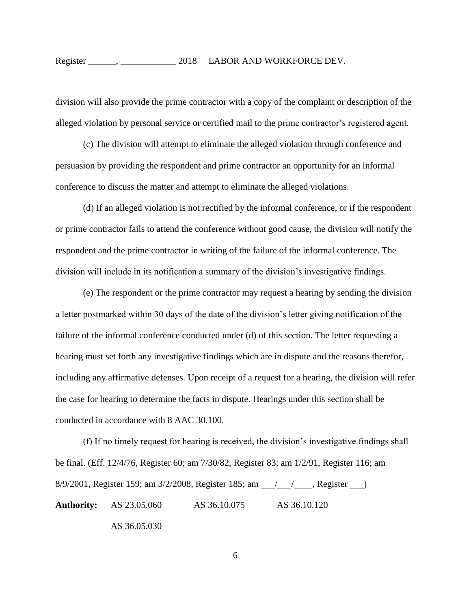division will also provide the prime contractor with a copy of the complaint or description of the alleged violation by personal service or certified mail to the prime contractor's registered agent.

(c) The division will attempt to eliminate the alleged violation through conference and persuasion by providing the respondent and prime contractor an opportunity for an informal conference to discuss the matter and attempt to eliminate the alleged violations.

(d) If an alleged violation is not rectified by the informal conference, or if the respondent or prime contractor fails to attend the conference without good cause, the division will notify the respondent and the prime contractor in writing of the failure of the informal conference. The division will include in its notification a summary of the division's investigative findings.

(e) The respondent or the prime contractor may request a hearing by sending the division a letter postmarked within 30 days of the date of the division's letter giving notification of the failure of the informal conference conducted under (d) of this section. The letter requesting a hearing must set forth any investigative findings which are in dispute and the reasons therefor, including any affirmative defenses. Upon receipt of a request for a hearing, the division will refer the case for hearing to determine the facts in dispute. Hearings under this section shall be conducted in accordance with 8 AAC 30.100.

(f) If no timely request for hearing is received, the division's investigative findings shall be final. (Eff. 12/4/76, Register 60; am 7/30/82, Register 83; am 1/2/91, Register 116; am 8/9/2001, Register 159; am 3/2/2008, Register 185; am \_\_\_\_\_\_\_\_\_\_\_\_\_\_, Register \_\_\_\_\_\_\_) **Authority:** AS 23.05.060 AS 36.10.075 AS 36.10.120 AS 36.05.030

6